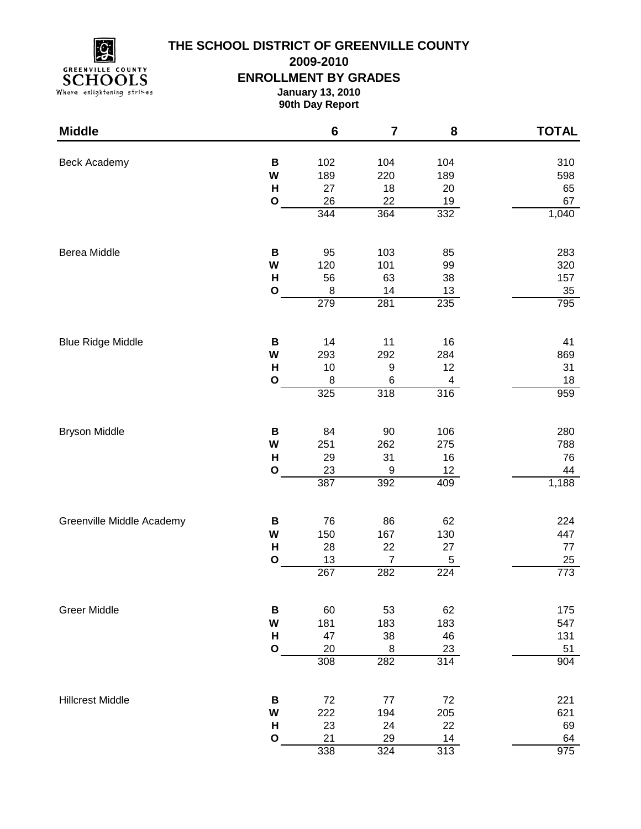

# **THE SCHOOL DISTRICT OF GREENVILLE COUNTY**

**2009-2010**

#### **ENROLLMENT BY GRADES**

**January 13, 2010**

**90th Day Report**

| 102<br>104<br><b>Beck Academy</b><br>B<br>104<br>310<br>W<br>189<br>220<br>189<br>598<br>H<br>27<br>18<br>20<br>65<br>22<br>$\mathbf O$<br>26<br>19<br>67<br>344<br>364<br>332<br>1,040<br>Berea Middle<br>$\, {\bf B}$<br>103<br>283<br>95<br>85<br>W<br>120<br>101<br>99<br>320<br>H<br>56<br>63<br>38<br>157<br>$\bf8$<br>$\mathbf O$<br>14<br>$13$<br>35<br>279<br>281<br>235<br>795<br><b>Blue Ridge Middle</b><br>$\, {\bf B}$<br>14<br>11<br>16<br>41<br>W<br>284<br>293<br>292<br>869<br>12<br>H<br>$\boldsymbol{9}$<br>10<br>31<br>$\mathbf{o}$<br>18<br>8<br>6<br>4<br>318<br>325<br>959<br>316<br><b>Bryson Middle</b><br>84<br>90<br>106<br>280<br>B<br>W<br>262<br>275<br>251<br>788<br>$\mathsf{H}$<br>29<br>31<br>16<br>76<br>23<br>9<br>12<br>44<br>$\mathbf{o}$<br>387<br>392<br>1,188<br>409<br>Greenville Middle Academy<br>76<br>86<br>62<br>224<br>В<br>167<br>130<br>447<br>W<br>150<br>H<br>28<br>22<br>27<br>$77 \,$<br>13<br>$\boldsymbol{7}$<br>$\mathbf{o}$<br>5<br>25<br>267<br>773<br>282<br>224<br><b>Greer Middle</b><br>62<br>B<br>60<br>53<br>175<br>W<br>181<br>183<br>183<br>547<br>H<br>38<br>46<br>47<br>131<br>$\mathbf O$<br>20<br>$\,8\,$<br>23<br>51<br>$\overline{308}$<br>282<br>$\overline{31}4$<br>904<br><b>Hillcrest Middle</b><br>$72\,$<br>72<br>$77$<br>221<br>B<br>205<br>621<br>W<br>222<br>194<br>22<br>H<br>23<br>24<br>69<br>14<br>$\mathbf{o}$<br>21<br>29<br>64<br>338<br>324<br>975<br>313 | <b>Middle</b> | $6\phantom{1}$ | $\overline{\mathbf{7}}$ | 8 | <b>TOTAL</b> |
|------------------------------------------------------------------------------------------------------------------------------------------------------------------------------------------------------------------------------------------------------------------------------------------------------------------------------------------------------------------------------------------------------------------------------------------------------------------------------------------------------------------------------------------------------------------------------------------------------------------------------------------------------------------------------------------------------------------------------------------------------------------------------------------------------------------------------------------------------------------------------------------------------------------------------------------------------------------------------------------------------------------------------------------------------------------------------------------------------------------------------------------------------------------------------------------------------------------------------------------------------------------------------------------------------------------------------------------------------------------------------------------------------------------------------------------------------|---------------|----------------|-------------------------|---|--------------|
|                                                                                                                                                                                                                                                                                                                                                                                                                                                                                                                                                                                                                                                                                                                                                                                                                                                                                                                                                                                                                                                                                                                                                                                                                                                                                                                                                                                                                                                      |               |                |                         |   |              |
|                                                                                                                                                                                                                                                                                                                                                                                                                                                                                                                                                                                                                                                                                                                                                                                                                                                                                                                                                                                                                                                                                                                                                                                                                                                                                                                                                                                                                                                      |               |                |                         |   |              |
|                                                                                                                                                                                                                                                                                                                                                                                                                                                                                                                                                                                                                                                                                                                                                                                                                                                                                                                                                                                                                                                                                                                                                                                                                                                                                                                                                                                                                                                      |               |                |                         |   |              |
|                                                                                                                                                                                                                                                                                                                                                                                                                                                                                                                                                                                                                                                                                                                                                                                                                                                                                                                                                                                                                                                                                                                                                                                                                                                                                                                                                                                                                                                      |               |                |                         |   |              |
|                                                                                                                                                                                                                                                                                                                                                                                                                                                                                                                                                                                                                                                                                                                                                                                                                                                                                                                                                                                                                                                                                                                                                                                                                                                                                                                                                                                                                                                      |               |                |                         |   |              |
|                                                                                                                                                                                                                                                                                                                                                                                                                                                                                                                                                                                                                                                                                                                                                                                                                                                                                                                                                                                                                                                                                                                                                                                                                                                                                                                                                                                                                                                      |               |                |                         |   |              |
|                                                                                                                                                                                                                                                                                                                                                                                                                                                                                                                                                                                                                                                                                                                                                                                                                                                                                                                                                                                                                                                                                                                                                                                                                                                                                                                                                                                                                                                      |               |                |                         |   |              |
|                                                                                                                                                                                                                                                                                                                                                                                                                                                                                                                                                                                                                                                                                                                                                                                                                                                                                                                                                                                                                                                                                                                                                                                                                                                                                                                                                                                                                                                      |               |                |                         |   |              |
|                                                                                                                                                                                                                                                                                                                                                                                                                                                                                                                                                                                                                                                                                                                                                                                                                                                                                                                                                                                                                                                                                                                                                                                                                                                                                                                                                                                                                                                      |               |                |                         |   |              |
|                                                                                                                                                                                                                                                                                                                                                                                                                                                                                                                                                                                                                                                                                                                                                                                                                                                                                                                                                                                                                                                                                                                                                                                                                                                                                                                                                                                                                                                      |               |                |                         |   |              |
|                                                                                                                                                                                                                                                                                                                                                                                                                                                                                                                                                                                                                                                                                                                                                                                                                                                                                                                                                                                                                                                                                                                                                                                                                                                                                                                                                                                                                                                      |               |                |                         |   |              |
|                                                                                                                                                                                                                                                                                                                                                                                                                                                                                                                                                                                                                                                                                                                                                                                                                                                                                                                                                                                                                                                                                                                                                                                                                                                                                                                                                                                                                                                      |               |                |                         |   |              |
|                                                                                                                                                                                                                                                                                                                                                                                                                                                                                                                                                                                                                                                                                                                                                                                                                                                                                                                                                                                                                                                                                                                                                                                                                                                                                                                                                                                                                                                      |               |                |                         |   |              |
|                                                                                                                                                                                                                                                                                                                                                                                                                                                                                                                                                                                                                                                                                                                                                                                                                                                                                                                                                                                                                                                                                                                                                                                                                                                                                                                                                                                                                                                      |               |                |                         |   |              |
|                                                                                                                                                                                                                                                                                                                                                                                                                                                                                                                                                                                                                                                                                                                                                                                                                                                                                                                                                                                                                                                                                                                                                                                                                                                                                                                                                                                                                                                      |               |                |                         |   |              |
|                                                                                                                                                                                                                                                                                                                                                                                                                                                                                                                                                                                                                                                                                                                                                                                                                                                                                                                                                                                                                                                                                                                                                                                                                                                                                                                                                                                                                                                      |               |                |                         |   |              |
|                                                                                                                                                                                                                                                                                                                                                                                                                                                                                                                                                                                                                                                                                                                                                                                                                                                                                                                                                                                                                                                                                                                                                                                                                                                                                                                                                                                                                                                      |               |                |                         |   |              |
|                                                                                                                                                                                                                                                                                                                                                                                                                                                                                                                                                                                                                                                                                                                                                                                                                                                                                                                                                                                                                                                                                                                                                                                                                                                                                                                                                                                                                                                      |               |                |                         |   |              |
|                                                                                                                                                                                                                                                                                                                                                                                                                                                                                                                                                                                                                                                                                                                                                                                                                                                                                                                                                                                                                                                                                                                                                                                                                                                                                                                                                                                                                                                      |               |                |                         |   |              |
|                                                                                                                                                                                                                                                                                                                                                                                                                                                                                                                                                                                                                                                                                                                                                                                                                                                                                                                                                                                                                                                                                                                                                                                                                                                                                                                                                                                                                                                      |               |                |                         |   |              |
|                                                                                                                                                                                                                                                                                                                                                                                                                                                                                                                                                                                                                                                                                                                                                                                                                                                                                                                                                                                                                                                                                                                                                                                                                                                                                                                                                                                                                                                      |               |                |                         |   |              |
|                                                                                                                                                                                                                                                                                                                                                                                                                                                                                                                                                                                                                                                                                                                                                                                                                                                                                                                                                                                                                                                                                                                                                                                                                                                                                                                                                                                                                                                      |               |                |                         |   |              |
|                                                                                                                                                                                                                                                                                                                                                                                                                                                                                                                                                                                                                                                                                                                                                                                                                                                                                                                                                                                                                                                                                                                                                                                                                                                                                                                                                                                                                                                      |               |                |                         |   |              |
|                                                                                                                                                                                                                                                                                                                                                                                                                                                                                                                                                                                                                                                                                                                                                                                                                                                                                                                                                                                                                                                                                                                                                                                                                                                                                                                                                                                                                                                      |               |                |                         |   |              |
|                                                                                                                                                                                                                                                                                                                                                                                                                                                                                                                                                                                                                                                                                                                                                                                                                                                                                                                                                                                                                                                                                                                                                                                                                                                                                                                                                                                                                                                      |               |                |                         |   |              |
|                                                                                                                                                                                                                                                                                                                                                                                                                                                                                                                                                                                                                                                                                                                                                                                                                                                                                                                                                                                                                                                                                                                                                                                                                                                                                                                                                                                                                                                      |               |                |                         |   |              |
|                                                                                                                                                                                                                                                                                                                                                                                                                                                                                                                                                                                                                                                                                                                                                                                                                                                                                                                                                                                                                                                                                                                                                                                                                                                                                                                                                                                                                                                      |               |                |                         |   |              |
|                                                                                                                                                                                                                                                                                                                                                                                                                                                                                                                                                                                                                                                                                                                                                                                                                                                                                                                                                                                                                                                                                                                                                                                                                                                                                                                                                                                                                                                      |               |                |                         |   |              |
|                                                                                                                                                                                                                                                                                                                                                                                                                                                                                                                                                                                                                                                                                                                                                                                                                                                                                                                                                                                                                                                                                                                                                                                                                                                                                                                                                                                                                                                      |               |                |                         |   |              |
|                                                                                                                                                                                                                                                                                                                                                                                                                                                                                                                                                                                                                                                                                                                                                                                                                                                                                                                                                                                                                                                                                                                                                                                                                                                                                                                                                                                                                                                      |               |                |                         |   |              |
|                                                                                                                                                                                                                                                                                                                                                                                                                                                                                                                                                                                                                                                                                                                                                                                                                                                                                                                                                                                                                                                                                                                                                                                                                                                                                                                                                                                                                                                      |               |                |                         |   |              |
|                                                                                                                                                                                                                                                                                                                                                                                                                                                                                                                                                                                                                                                                                                                                                                                                                                                                                                                                                                                                                                                                                                                                                                                                                                                                                                                                                                                                                                                      |               |                |                         |   |              |
|                                                                                                                                                                                                                                                                                                                                                                                                                                                                                                                                                                                                                                                                                                                                                                                                                                                                                                                                                                                                                                                                                                                                                                                                                                                                                                                                                                                                                                                      |               |                |                         |   |              |
|                                                                                                                                                                                                                                                                                                                                                                                                                                                                                                                                                                                                                                                                                                                                                                                                                                                                                                                                                                                                                                                                                                                                                                                                                                                                                                                                                                                                                                                      |               |                |                         |   |              |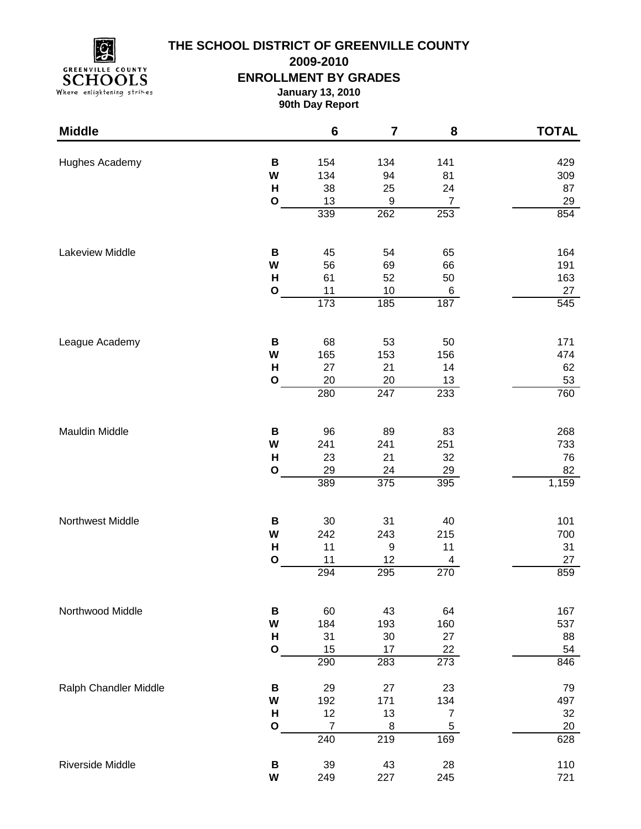

## **THE SCHOOL DISTRICT OF GREENVILLE COUNTY**

**2009-2010**

**ENROLLMENT BY GRADES**

**January 13, 2010 90th Day Report**

| <b>Middle</b>         |                                        | $\bf 6$                      | $\overline{\mathbf{7}}$             | 8                                   | <b>TOTAL</b>                    |
|-----------------------|----------------------------------------|------------------------------|-------------------------------------|-------------------------------------|---------------------------------|
| Hughes Academy        | B<br>W<br>$\mathsf{H}$                 | 154<br>134<br>38             | 134<br>94<br>25                     | 141<br>81<br>24                     | 429<br>309<br>87                |
|                       | $\mathbf O$                            | 13<br>339                    | $\boldsymbol{9}$<br>262             | $\boldsymbol{7}$<br>253             | 29<br>854                       |
| Lakeview Middle       | B<br>W<br>H                            | 45<br>56<br>61               | 54<br>69<br>52                      | 65<br>66<br>50                      | 164<br>191<br>163               |
|                       | $\mathbf O$                            | 11<br>$\overline{173}$       | $10$<br>185                         | 6<br>187                            | 27<br>545                       |
| League Academy        | B<br>W<br>H<br>$\mathbf{o}$            | 68<br>165<br>27<br>20        | 53<br>153<br>21<br>20               | 50<br>156<br>14<br>13               | 171<br>474<br>62<br>53          |
|                       |                                        | 280                          | $\overline{247}$                    | 233                                 | 760                             |
| Mauldin Middle        | $\, {\bf B}$<br>W<br>H<br>$\mathbf{o}$ | 96<br>241<br>23<br>29<br>389 | 89<br>241<br>21<br>24<br>375        | 83<br>251<br>32<br><u>29</u><br>395 | 268<br>733<br>76<br>82<br>1,159 |
| Northwest Middle      | B<br>W<br>H<br>$\mathbf{o}$            | $30\,$<br>242<br>11<br>11    | 31<br>243<br>$\boldsymbol{9}$<br>12 | 40<br>215<br>11<br>4                | 101<br>700<br>31<br>27          |
|                       |                                        | 294                          | 295                                 | 270                                 | 859                             |
| Northwood Middle      | В<br>W<br>H<br>$\mathbf{o}$            | 60<br>184<br>31<br>15<br>290 | 43<br>193<br>30<br>17<br>283        | 64<br>160<br>27<br>22<br>273        | 167<br>537<br>88<br>54<br>846   |
| Ralph Chandler Middle | B<br>W<br>H                            | 29<br>192<br>12              | 27<br>171<br>13                     | 23<br>134<br>$\boldsymbol{7}$       | 79<br>497<br>32                 |
|                       | $\mathbf O$                            | $\overline{7}$<br>240        | $\,8\,$<br>$\overline{219}$         | $\mathbf 5$<br>169                  | 20<br>628                       |
| Riverside Middle      | В<br>W                                 | 39<br>249                    | 43<br>227                           | 28<br>245                           | 110<br>721                      |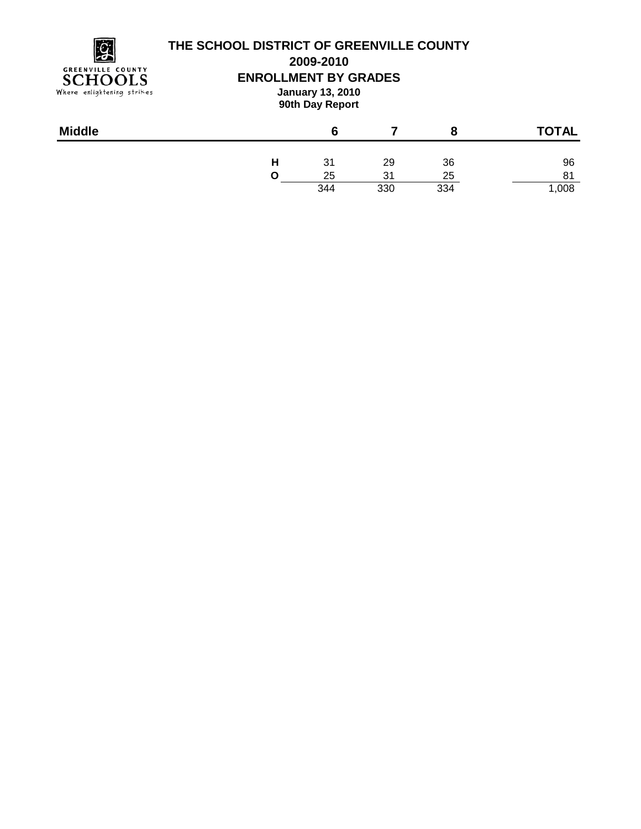

### **THE SCHOOL DISTRICT OF GREENVILLE COUNTY**

**2009-2010**

**ENROLLMENT BY GRADES**

**January 13, 2010 90th Day Report**

| <b>Middle</b> |   |     |     |     | <b>TOTAL</b> |
|---------------|---|-----|-----|-----|--------------|
|               | н | 31  | 29  | 36  | 96           |
|               |   | 25  | 31  | 25  | 81           |
|               |   | 344 | 330 | 334 | ,008         |